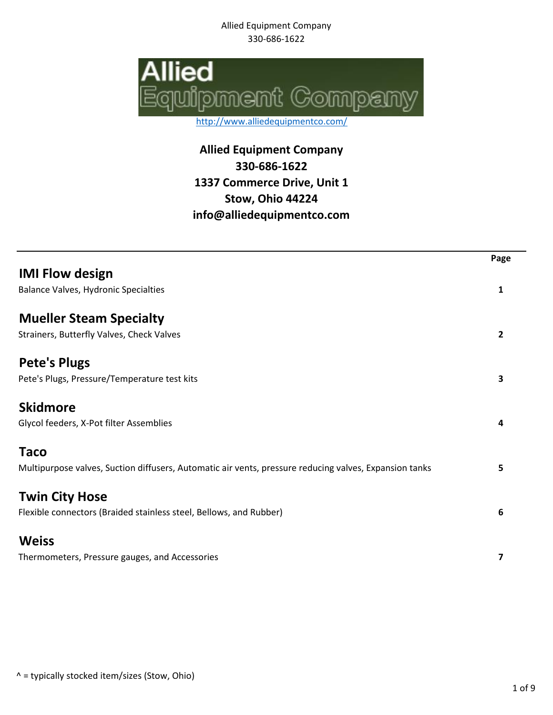Allied Equipment Company 330-686-1622



http://www.alliedequipmentco.com/

**Allied Equipment Company 330-686-1622 1337 Commerce Drive, Unit 1 Stow, Ohio 44224 info@alliedequipmentco.com**

| <b>IMI Flow design</b><br><b>Balance Valves, Hydronic Specialties</b><br>1<br><b>Mueller Steam Specialty</b><br>Strainers, Butterfly Valves, Check Valves<br>$\overline{2}$<br><b>Pete's Plugs</b><br>Pete's Plugs, Pressure/Temperature test kits<br>3<br><b>Skidmore</b><br>Glycol feeders, X-Pot filter Assemblies<br>4<br><b>Taco</b><br>Multipurpose valves, Suction diffusers, Automatic air vents, pressure reducing valves, Expansion tanks<br>5<br><b>Twin City Hose</b><br>Flexible connectors (Braided stainless steel, Bellows, and Rubber)<br>$6\phantom{1}6$<br><b>Weiss</b><br>7 |                                                | Page |
|-------------------------------------------------------------------------------------------------------------------------------------------------------------------------------------------------------------------------------------------------------------------------------------------------------------------------------------------------------------------------------------------------------------------------------------------------------------------------------------------------------------------------------------------------------------------------------------------------|------------------------------------------------|------|
|                                                                                                                                                                                                                                                                                                                                                                                                                                                                                                                                                                                                 |                                                |      |
|                                                                                                                                                                                                                                                                                                                                                                                                                                                                                                                                                                                                 |                                                |      |
|                                                                                                                                                                                                                                                                                                                                                                                                                                                                                                                                                                                                 |                                                |      |
|                                                                                                                                                                                                                                                                                                                                                                                                                                                                                                                                                                                                 |                                                |      |
|                                                                                                                                                                                                                                                                                                                                                                                                                                                                                                                                                                                                 |                                                |      |
|                                                                                                                                                                                                                                                                                                                                                                                                                                                                                                                                                                                                 |                                                |      |
|                                                                                                                                                                                                                                                                                                                                                                                                                                                                                                                                                                                                 |                                                |      |
|                                                                                                                                                                                                                                                                                                                                                                                                                                                                                                                                                                                                 |                                                |      |
|                                                                                                                                                                                                                                                                                                                                                                                                                                                                                                                                                                                                 |                                                |      |
|                                                                                                                                                                                                                                                                                                                                                                                                                                                                                                                                                                                                 |                                                |      |
|                                                                                                                                                                                                                                                                                                                                                                                                                                                                                                                                                                                                 |                                                |      |
|                                                                                                                                                                                                                                                                                                                                                                                                                                                                                                                                                                                                 |                                                |      |
|                                                                                                                                                                                                                                                                                                                                                                                                                                                                                                                                                                                                 |                                                |      |
|                                                                                                                                                                                                                                                                                                                                                                                                                                                                                                                                                                                                 | Thermometers, Pressure gauges, and Accessories |      |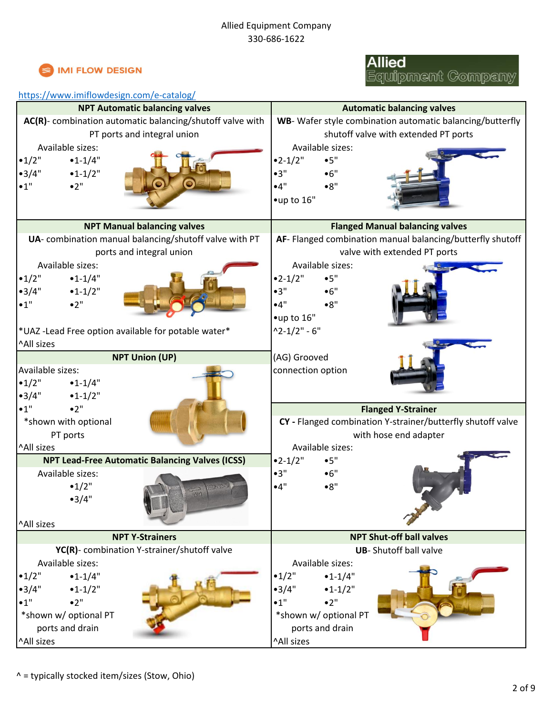

# **Allied**<br>Equipment Company

#### <https://www.imiflowdesign.com/e-catalog/>

| <b>NPT Automatic balancing valves</b>                     | <b>Automatic balancing valves</b>                           |
|-----------------------------------------------------------|-------------------------------------------------------------|
| AC(R)- combination automatic balancing/shutoff valve with | WB- Wafer style combination automatic balancing/butterfly   |
| PT ports and integral union                               | shutoff valve with extended PT ports                        |
| Available sizes:                                          | Available sizes:                                            |
| •1/2"<br>$•1 - 1/4"$                                      | $•2-1/2"$<br>•5"                                            |
| •3/4"<br>$•1-1/2"$                                        | •3"<br>•6"                                                  |
| •2"<br>•1"                                                | •4"<br>•8"                                                  |
|                                                           | •up to 16"                                                  |
|                                                           |                                                             |
| <b>NPT Manual balancing valves</b>                        | <b>Flanged Manual balancing valves</b>                      |
| UA- combination manual balancing/shutoff valve with PT    | AF- Flanged combination manual balancing/butterfly shutoff  |
| ports and integral union                                  | valve with extended PT ports                                |
| Available sizes:                                          | Available sizes:                                            |
| •1/2"<br>$•1-1/4"$                                        | $•2 - 1/2"$<br>•5"                                          |
| •3/4"<br>$•1-1/2"$                                        | •3"<br>•6"                                                  |
| •1"<br>•2"                                                | •4"<br>•8"                                                  |
|                                                           | •up to 16"                                                  |
| *UAZ-Lead Free option available for potable water*        | $^{\circ}2 - 1/2" - 6"$                                     |
| ^All sizes                                                |                                                             |
| <b>NPT Union (UP)</b>                                     | (AG) Grooved                                                |
| Available sizes:                                          | connection option                                           |
| •1/2"<br>$•1-1/4"$                                        |                                                             |
| •3/4"<br>$•1-1/2"$                                        |                                                             |
| •2"<br>•1"                                                | <b>Flanged Y-Strainer</b>                                   |
| *shown with optional                                      | CY - Flanged combination Y-strainer/butterfly shutoff valve |
| PT ports                                                  | with hose end adapter                                       |
| ^All sizes                                                | Available sizes:                                            |
| <b>NPT Lead-Free Automatic Balancing Valves (ICSS)</b>    | $•2 - 1/2"$<br>•5"                                          |
| Available sizes:                                          | •3"<br>•6"                                                  |
| •1/2"                                                     | •4"<br>•8"                                                  |
| •3/4"                                                     |                                                             |
|                                                           |                                                             |
| ^All sizes                                                |                                                             |
| <b>NPT Y-Strainers</b>                                    | <b>NPT Shut-off ball valves</b>                             |
| YC(R)- combination Y-strainer/shutoff valve               | <b>UB-</b> Shutoff ball valve                               |
| Available sizes:                                          | Available sizes:                                            |
| •1/2"<br>$•1 - 1/4"$                                      | •1/2"<br>$•1 - 1/4"$                                        |
| •3/4"<br>$•1-1/2"$                                        | •3/4"<br>$•1 - 1/2"$                                        |
| •1"<br>•2"                                                | •2"<br>•1"                                                  |
| *shown w/ optional PT                                     | *shown w/ optional PT                                       |
| ports and drain                                           | ports and drain                                             |
| ^All sizes                                                | ^All sizes                                                  |
|                                                           |                                                             |

^ = typically stocked item/sizes (Stow, Ohio)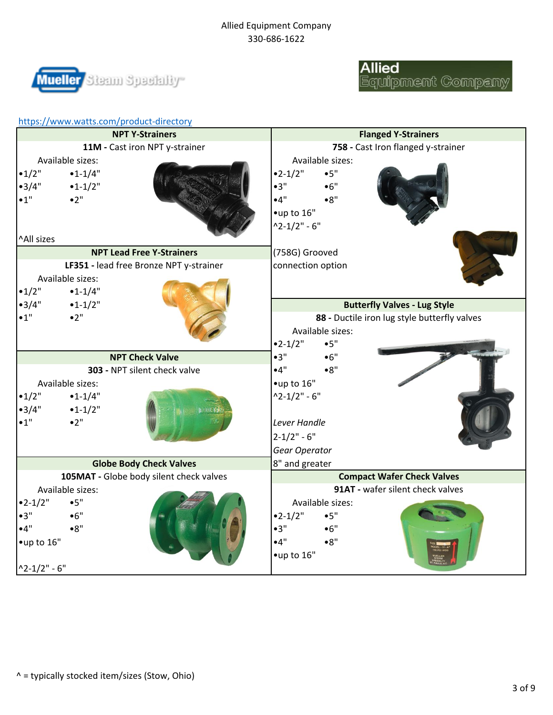#### Allied Equipment Company 330-686-1622





|                                         | https://www.watts.com/product-directory |                                         |                                    |                            |                                              |  |
|-----------------------------------------|-----------------------------------------|-----------------------------------------|------------------------------------|----------------------------|----------------------------------------------|--|
| <b>NPT Y-Strainers</b>                  |                                         |                                         |                                    | <b>Flanged Y-Strainers</b> |                                              |  |
| 11M - Cast iron NPT y-strainer          |                                         |                                         | 758 - Cast Iron flanged y-strainer |                            |                                              |  |
|                                         | Available sizes:                        |                                         |                                    | Available sizes:           |                                              |  |
| •1/2"                                   | $•1 - 1/4"$                             |                                         | $•2 - 1/2"$                        | •5"                        |                                              |  |
| •3/4"                                   | $•1-1/2"$                               |                                         | •3"                                | •6"                        |                                              |  |
| $\bullet$ 1"                            | •2"                                     |                                         | •4"                                | •8"                        |                                              |  |
|                                         |                                         |                                         | $•$ up to $16"$                    |                            |                                              |  |
|                                         |                                         |                                         | $^{\circ}2 - 1/2" - 6"$            |                            |                                              |  |
| ^All sizes                              |                                         |                                         |                                    |                            |                                              |  |
|                                         |                                         | <b>NPT Lead Free Y-Strainers</b>        | (758G) Grooved                     |                            |                                              |  |
|                                         |                                         | LF351 - lead free Bronze NPT y-strainer | connection option                  |                            |                                              |  |
|                                         | Available sizes:                        |                                         |                                    |                            |                                              |  |
| •1/2"                                   | $•1 - 1/4"$                             |                                         |                                    |                            |                                              |  |
| •3/4"                                   | $•1-1/2"$                               |                                         |                                    |                            | <b>Butterfly Valves - Lug Style</b>          |  |
| $\bullet$ 1"                            | •2"                                     |                                         |                                    |                            | 88 - Ductile iron lug style butterfly valves |  |
|                                         |                                         |                                         |                                    | Available sizes:           |                                              |  |
|                                         |                                         |                                         | $•2 - 1/2"$                        | •5"                        |                                              |  |
|                                         |                                         | <b>NPT Check Valve</b>                  | •3"                                | •6"                        |                                              |  |
|                                         |                                         | 303 - NPT silent check valve            | •4"                                | •8"                        |                                              |  |
|                                         | Available sizes:                        |                                         | $•$ up to $16"$                    |                            |                                              |  |
| •1/2"                                   | $•1-1/4"$                               |                                         | $^{\circ}2 - 1/2" - 6"$            |                            |                                              |  |
| •3/4"                                   | $•1-1/2"$                               |                                         |                                    |                            |                                              |  |
| •1"                                     | •2"                                     |                                         | Lever Handle                       |                            |                                              |  |
|                                         |                                         |                                         | $2 - 1/2" - 6"$                    |                            |                                              |  |
|                                         |                                         |                                         | Gear Operator                      |                            |                                              |  |
|                                         |                                         | <b>Globe Body Check Valves</b>          | 8" and greater                     |                            |                                              |  |
| 105MAT - Globe body silent check valves |                                         | <b>Compact Wafer Check Valves</b>       |                                    |                            |                                              |  |
|                                         | Available sizes:                        |                                         |                                    |                            | 91AT - wafer silent check valves             |  |
| $•2-1/2"$                               | •5"                                     |                                         |                                    | Available sizes:           |                                              |  |
| •3"                                     | •6"                                     |                                         | $•2-1/2"$                          | •5"                        |                                              |  |
| •4"                                     | •8"                                     |                                         | •3"                                | •6"                        |                                              |  |
| •up to 16"                              |                                         |                                         | •4"                                | •8"                        |                                              |  |
|                                         |                                         |                                         | •up to 16"                         |                            |                                              |  |
| $^{\circ}2 - 1/2" - 6"$                 |                                         |                                         |                                    |                            |                                              |  |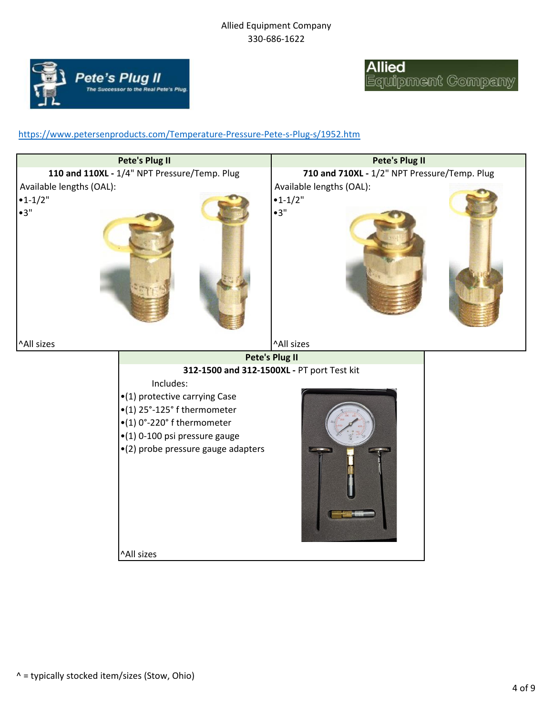#### Allied Equipment Company 330-686-1622



### **Allied** Equipment Company

#### <https://www.petersenproducts.com/Temperature-Pressure-Pete-s-Plug-s/1952.htm>

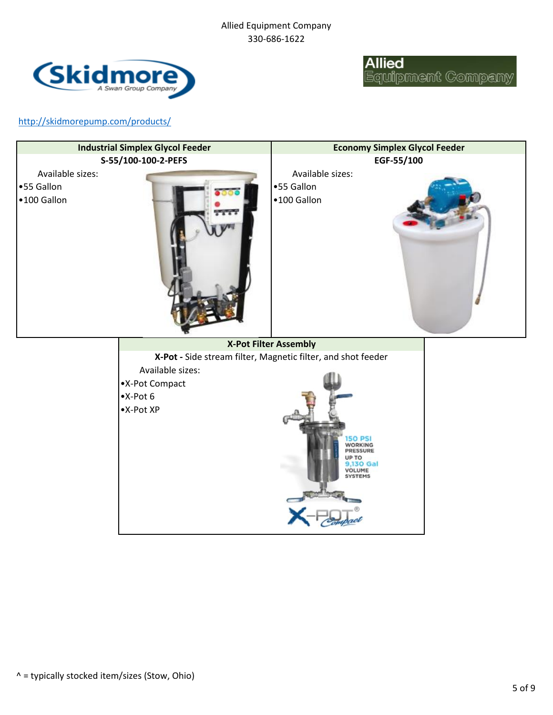

**Allied** .<br>Equipment Company

<http://skidmorepump.com/products/>

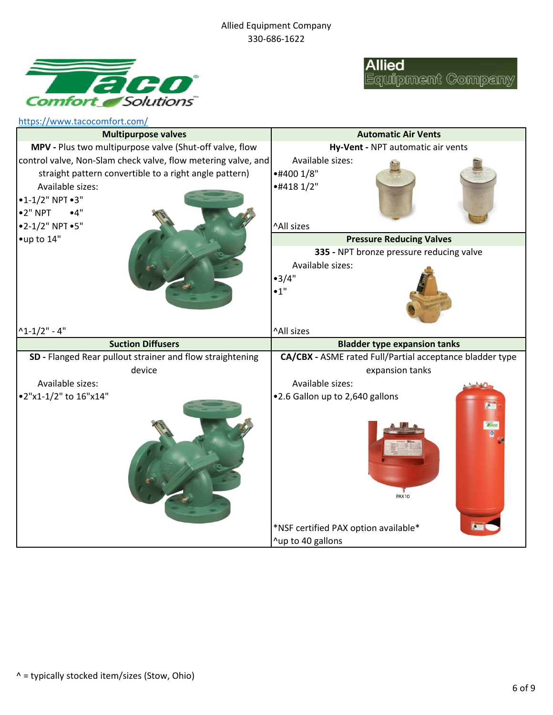



| https://www.tacocomfort.com/                                  |                                                          |
|---------------------------------------------------------------|----------------------------------------------------------|
| <b>Multipurpose valves</b>                                    | <b>Automatic Air Vents</b>                               |
| MPV - Plus two multipurpose valve (Shut-off valve, flow       | Hy-Vent - NPT automatic air vents                        |
| control valve, Non-Slam check valve, flow metering valve, and | Available sizes:                                         |
| straight pattern convertible to a right angle pattern)        | •#400 1/8"                                               |
| Available sizes:                                              | $*44181/2"$                                              |
| $•1-1/2" NPT •3"$                                             |                                                          |
| $•2"$ NPT<br>•4"                                              |                                                          |
| •2-1/2" NPT •5"                                               | ^All sizes                                               |
| •up to 14"                                                    | <b>Pressure Reducing Valves</b>                          |
|                                                               | 335 - NPT bronze pressure reducing valve                 |
|                                                               | Available sizes:                                         |
|                                                               | •3/4"                                                    |
|                                                               | •1"                                                      |
|                                                               |                                                          |
|                                                               |                                                          |
| $^{\wedge}1 - 1/2" - 4"$                                      | ^All sizes                                               |
|                                                               |                                                          |
| <b>Suction Diffusers</b>                                      | <b>Bladder type expansion tanks</b>                      |
| SD - Flanged Rear pullout strainer and flow straightening     | CA/CBX - ASME rated Full/Partial acceptance bladder type |
| device                                                        | expansion tanks                                          |
| Available sizes:                                              | Available sizes:                                         |
| •2"x1-1/2" to 16"x14"                                         | .2.6 Gallon up to 2,640 gallons                          |
|                                                               |                                                          |
|                                                               |                                                          |
|                                                               |                                                          |
|                                                               |                                                          |
|                                                               |                                                          |
|                                                               |                                                          |
|                                                               |                                                          |
|                                                               | <b>PAX10</b>                                             |
|                                                               |                                                          |
|                                                               | *NSF certified PAX option available*                     |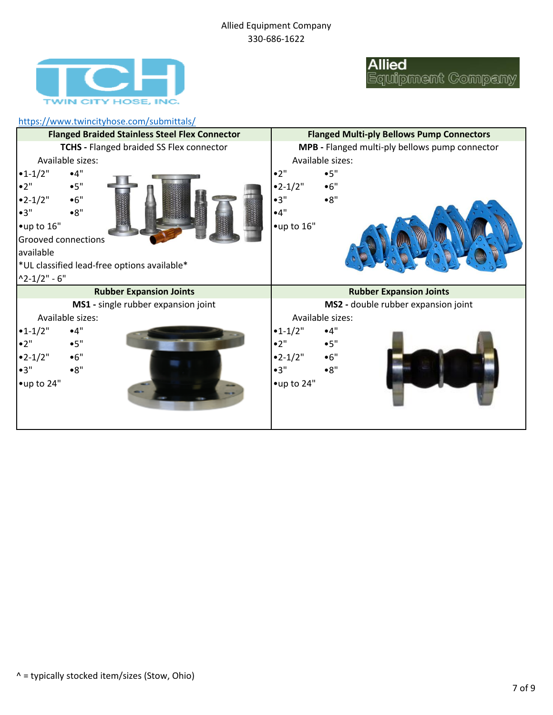

### **Allied** Equipment Company

#### <https://www.twincityhose.com/submittals/> •1-1/2" •4" •2" •5" •2" •5" • **11 •2-1/2"** •6" •2-1/2" •6" •3" •8" •3" •8" •4" •up to 16" •up to 16" \*UL classified lead-free options available\*  $^{\circ}$ 2-1/2" - 6" •1-1/2" •4" •1-1/2" •4" •2" •5" •2" •5" •2-1/2" •6" •2-1/2" •6" •3" •8" •3" •8" •up to 24" **Rubber Expansion Joints MS1 -** single rubber expansion joint Available sizes: Grooved connections available **Rubber Expansion Joints MS2 -** double rubber expansion joint Available sizes: **Flanged Braided Stainless Steel Flex Connector TCHS -** Flanged braided SS Flex connector Available sizes: **Flanged Multi-ply Bellows Pump Connectors MPB -** Flanged multi-ply bellows pump connector Available sizes: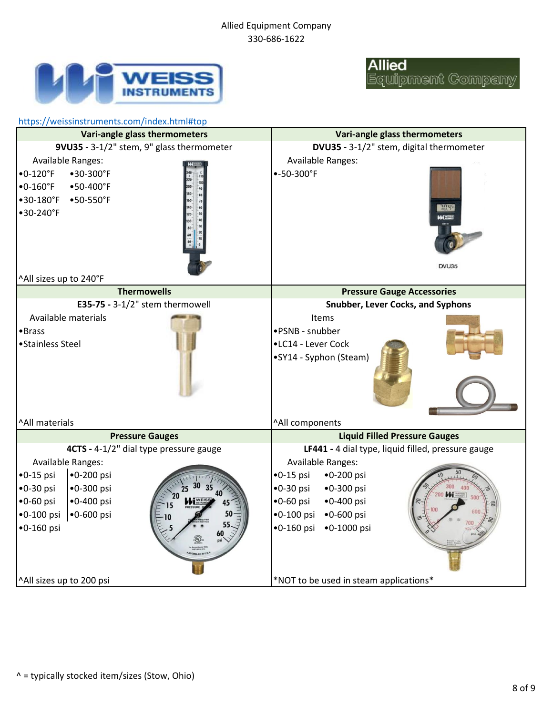

# **Allied**<br>Equipment Company

| https://weissinstruments.com/index.html#top                                                                                                                                                                                                                  |                                                                                                                                                                                                                                                                                                                              |  |  |  |
|--------------------------------------------------------------------------------------------------------------------------------------------------------------------------------------------------------------------------------------------------------------|------------------------------------------------------------------------------------------------------------------------------------------------------------------------------------------------------------------------------------------------------------------------------------------------------------------------------|--|--|--|
| Vari-angle glass thermometers                                                                                                                                                                                                                                | Vari-angle glass thermometers                                                                                                                                                                                                                                                                                                |  |  |  |
| 9VU35 - 3-1/2" stem, 9" glass thermometer<br><b>Available Ranges:</b><br>$•0-120$ °F<br>•30-300°F<br>$\bullet$ 0-160°F<br>$•50 - 400$ °F<br>$•30-180$ °F<br>$•50 - 550$ °F<br>•30-240°F<br>^All sizes up to 240°F                                            | DVU35 - 3-1/2" stem, digital thermometer<br><b>Available Ranges:</b><br>$-50-300$ °F<br>70.4<br>DVU35                                                                                                                                                                                                                        |  |  |  |
| <b>Thermowells</b>                                                                                                                                                                                                                                           | <b>Pressure Gauge Accessories</b>                                                                                                                                                                                                                                                                                            |  |  |  |
| E35-75 - $3-1/2$ " stem thermowell                                                                                                                                                                                                                           | <b>Snubber, Lever Cocks, and Syphons</b>                                                                                                                                                                                                                                                                                     |  |  |  |
| Available materials<br>•Brass<br>• Stainless Steel                                                                                                                                                                                                           | Items<br>•PSNB - snubber<br>•LC14 - Lever Cock<br>•SY14 - Syphon (Steam)                                                                                                                                                                                                                                                     |  |  |  |
| ^All materials                                                                                                                                                                                                                                               | ^All components                                                                                                                                                                                                                                                                                                              |  |  |  |
| <b>Pressure Gauges</b><br>4CTS - 4-1/2" dial type pressure gauge<br><b>Available Ranges:</b><br>$\bullet$ 0-15 psi<br>$•0 - 200$ psi<br>$•0-30$ psi<br>$•0 - 300$ psi<br>$•0-60$ psi<br>$•0 - 400$ psi<br>$•0 - 100$ psi<br>$•0 - 600$ psi<br>$•0 - 160$ psi | <b>Liquid Filled Pressure Gauges</b><br>LF441 - 4 dial type, liquid filled, pressure gauge<br><b>Available Ranges:</b><br>$•0-15$ psi<br>$•0 - 200$ psi<br>$•0-30$ psi<br>$•0 - 300$ psi<br>200 <b>bbi <i><u>sens</u></i></b><br>$•0-60$ psi<br>$•0 - 400$ psi<br>$•0 - 100$ psi<br>$•0 - 600$ psi<br>•0-160 psi •0-1000 psi |  |  |  |
| ^All sizes up to 200 psi                                                                                                                                                                                                                                     | *NOT to be used in steam applications*                                                                                                                                                                                                                                                                                       |  |  |  |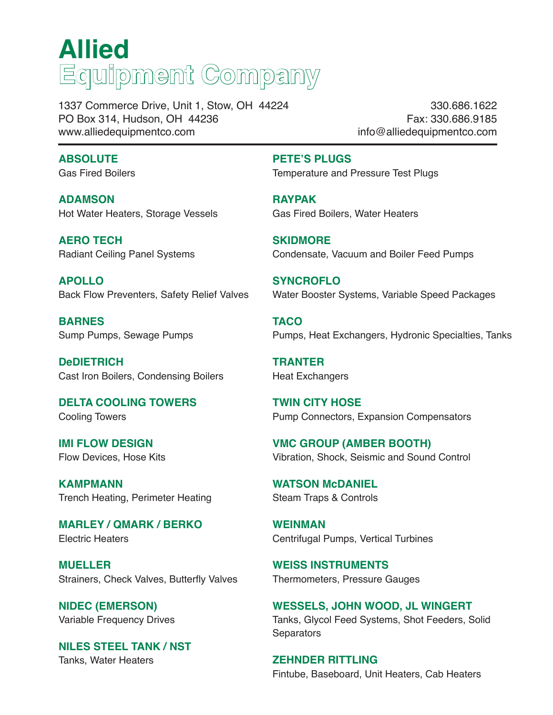# **Allied Equipment Company**

1337 Commerce Drive, Unit 1, Stow, OH 44224 PO Box 314, Hudson, OH 44236 www.alliedequipmentco.com

330.686.1622 Fax: 330.686.9185 info@alliedequipmentco.com

#### **ABSOLUTE**

Gas Fired Boilers

**ADAMSON** Hot Water Heaters, Storage Vessels

**AERO TECH** Radiant Ceiling Panel Systems

**APOLLO** Back Flow Preventers, Safety Relief Valves

**BARNES** Sump Pumps, Sewage Pumps

**DeDIETRICH** Cast Iron Boilers, Condensing Boilers

**DELTA COOLING TOWERS** Cooling Towers

**IMI FLOW DESIGN** Flow Devices, Hose Kits

**KAMPMANN** Trench Heating, Perimeter Heating

**MARLEY / QMARK / BERKO** Electric Heaters

**MUELLER**  Strainers, Check Valves, Butterfly Valves

**NIDEC (EMERSON)** Variable Frequency Drives

**NILES STEEL TANK / NST** Tanks, Water Heaters

**PETE'S PLUGS**

Temperature and Pressure Test Plugs

**RAYPAK** Gas Fired Boilers, Water Heaters

**SKIDMORE** Condensate, Vacuum and Boiler Feed Pumps

**SYNCROFLO** Water Booster Systems, Variable Speed Packages

**TACO** Pumps, Heat Exchangers, Hydronic Specialties, Tanks

**TRANTER** Heat Exchangers

**TWIN CITY HOSE** Pump Connectors, Expansion Compensators

**VMC GROUP (AMBER BOOTH)** Vibration, Shock, Seismic and Sound Control

**WATSON McDANIEL** Steam Traps & Controls

**WEINMAN** Centrifugal Pumps, Vertical Turbines

**WEISS INSTRUMENTS** Thermometers, Pressure Gauges

**WESSELS, JOHN WOOD, JL WINGERT** Tanks, Glycol Feed Systems, Shot Feeders, Solid **Separators** 

**ZEHNDER RITTLING** Fintube, Baseboard, Unit Heaters, Cab Heaters